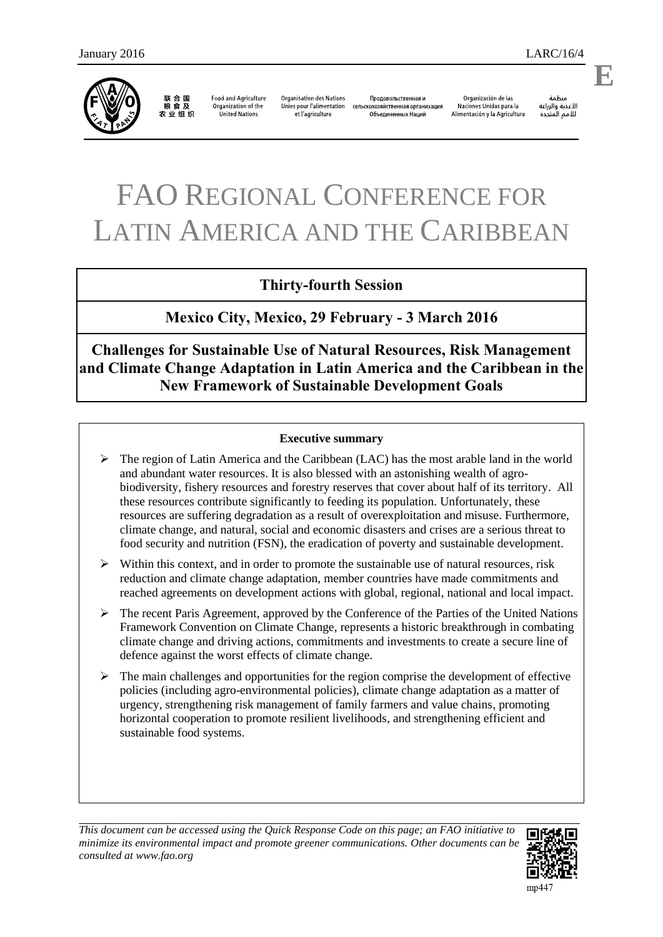联合国<br>粮食及 农业组织

**Food and Agriculture** Organization of the **United Nations** 

**Organisation des Nations** Unies pour l'alimentation et l'agriculture

Продовольственная и сельскохозяйственная организация Объединенных Наций

Organización de las Naciones Unidas para la Alimentación y la Agricultura

منظمة الأغذية والزراعة للأمم المتحدة

# FAO REGIONAL CONFERENCE FOR LATIN AMERICA AND THE CARIBBEAN

# **Thirty-fourth Session**

**Mexico City, Mexico, 29 February - 3 March 2016** 

**Challenges for Sustainable Use of Natural Resources, Risk Management and Climate Change Adaptation in Latin America and the Caribbean in the New Framework of Sustainable Development Goals** 

#### **Executive summary**

- $\triangleright$  The region of Latin America and the Caribbean (LAC) has the most arable land in the world and abundant water resources. It is also blessed with an astonishing wealth of agrobiodiversity, fishery resources and forestry reserves that cover about half of its territory. All these resources contribute significantly to feeding its population. Unfortunately, these resources are suffering degradation as a result of overexploitation and misuse. Furthermore, climate change, and natural, social and economic disasters and crises are a serious threat to food security and nutrition (FSN), the eradication of poverty and sustainable development.
- $\triangleright$  Within this context, and in order to promote the sustainable use of natural resources, risk reduction and climate change adaptation, member countries have made commitments and reached agreements on development actions with global, regional, national and local impact.
- $\triangleright$  The recent Paris Agreement, approved by the Conference of the Parties of the United Nations Framework Convention on Climate Change, represents a historic breakthrough in combating climate change and driving actions, commitments and investments to create a secure line of defence against the worst effects of climate change.
- $\triangleright$  The main challenges and opportunities for the region comprise the development of effective policies (including agro-environmental policies), climate change adaptation as a matter of urgency, strengthening risk management of family farmers and value chains, promoting horizontal cooperation to promote resilient livelihoods, and strengthening efficient and sustainable food systems.

*This document can be accessed using the Quick Response Code on this page; an FAO initiative to minimize its environmental impact and promote greener communications. Other documents can be consulted at www.fao.org*



**E**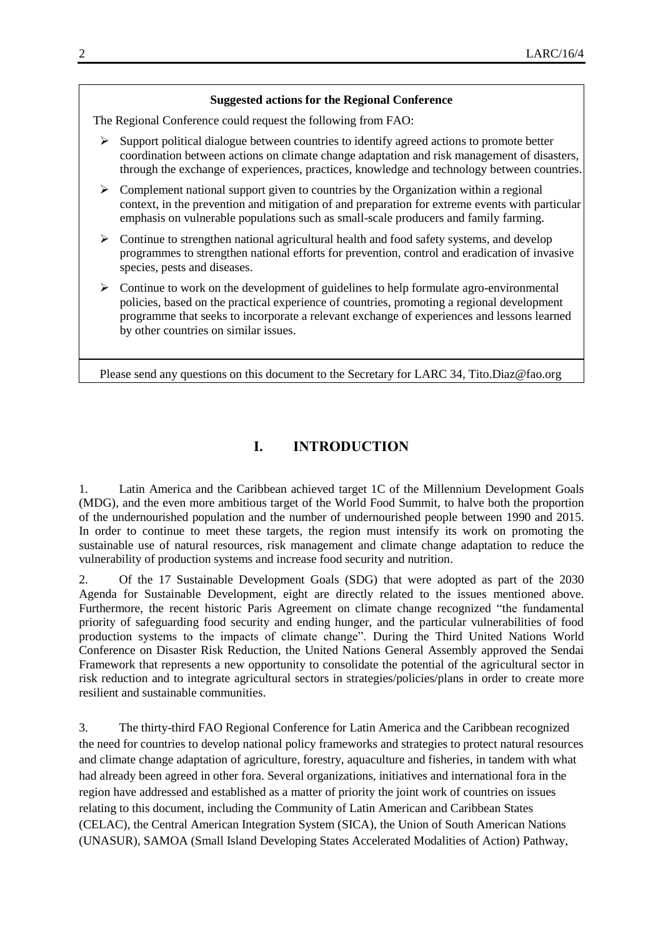#### **Suggested actions for the Regional Conference**

The Regional Conference could request the following from FAO:

- $\triangleright$  Support political dialogue between countries to identify agreed actions to promote better coordination between actions on climate change adaptation and risk management of disasters, through the exchange of experiences, practices, knowledge and technology between countries.
- $\triangleright$  Complement national support given to countries by the Organization within a regional context, in the prevention and mitigation of and preparation for extreme events with particular emphasis on vulnerable populations such as small-scale producers and family farming.
- $\triangleright$  Continue to strengthen national agricultural health and food safety systems, and develop programmes to strengthen national efforts for prevention, control and eradication of invasive species, pests and diseases.
- $\triangleright$  Continue to work on the development of guidelines to help formulate agro-environmental policies, based on the practical experience of countries, promoting a regional development programme that seeks to incorporate a relevant exchange of experiences and lessons learned by other countries on similar issues.

Please send any questions on this document to the Secretary for LARC 34, Tito.Diaz@fao.org

# **I. INTRODUCTION**

1. Latin America and the Caribbean achieved target 1C of the Millennium Development Goals (MDG), and the even more ambitious target of the World Food Summit, to halve both the proportion of the undernourished population and the number of undernourished people between 1990 and 2015. In order to continue to meet these targets, the region must intensify its work on promoting the sustainable use of natural resources, risk management and climate change adaptation to reduce the vulnerability of production systems and increase food security and nutrition.

2. Of the 17 Sustainable Development Goals (SDG) that were adopted as part of the 2030 Agenda for Sustainable Development, eight are directly related to the issues mentioned above. Furthermore, the recent historic Paris Agreement on climate change recognized "the fundamental priority of safeguarding food security and ending hunger, and the particular vulnerabilities of food production systems to the impacts of climate change". During the Third United Nations World Conference on Disaster Risk Reduction, the United Nations General Assembly approved the Sendai Framework that represents a new opportunity to consolidate the potential of the agricultural sector in risk reduction and to integrate agricultural sectors in strategies/policies/plans in order to create more resilient and sustainable communities.

3. The thirty-third FAO Regional Conference for Latin America and the Caribbean recognized the need for countries to develop national policy frameworks and strategies to protect natural resources and climate change adaptation of agriculture, forestry, aquaculture and fisheries, in tandem with what had already been agreed in other fora. Several organizations, initiatives and international fora in the region have addressed and established as a matter of priority the joint work of countries on issues relating to this document, including the Community of Latin American and Caribbean States (CELAC), the Central American Integration System (SICA), the Union of South American Nations (UNASUR), SAMOA (Small Island Developing States Accelerated Modalities of Action) Pathway,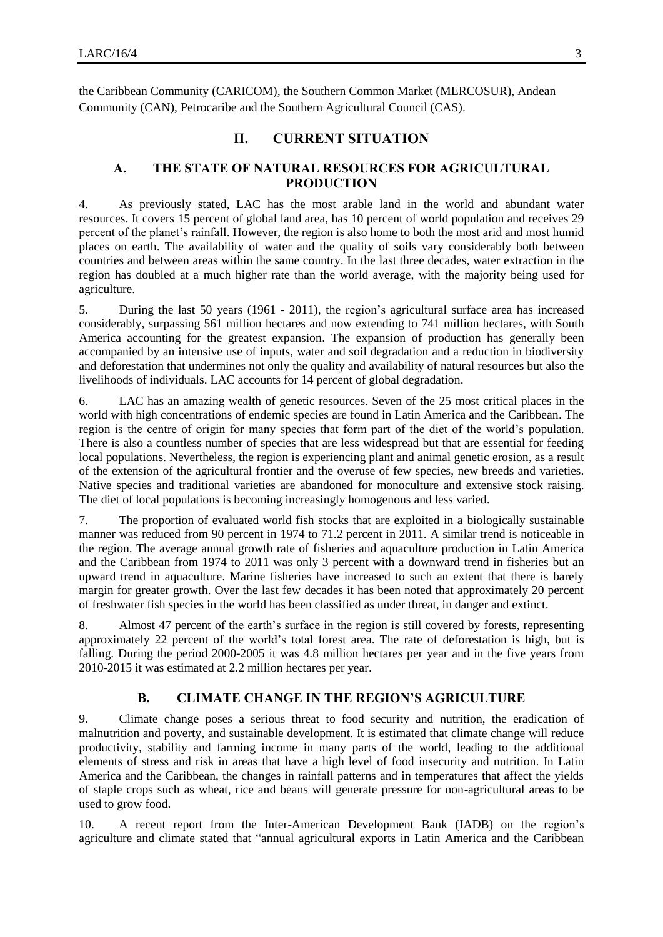the Caribbean Community (CARICOM), the Southern Common Market (MERCOSUR), Andean Community (CAN), Petrocaribe and the Southern Agricultural Council (CAS).

# **II. CURRENT SITUATION**

## **A. THE STATE OF NATURAL RESOURCES FOR AGRICULTURAL PRODUCTION**

4. As previously stated, LAC has the most arable land in the world and abundant water resources. It covers 15 percent of global land area, has 10 percent of world population and receives 29 percent of the planet's rainfall. However, the region is also home to both the most arid and most humid places on earth. The availability of water and the quality of soils vary considerably both between countries and between areas within the same country. In the last three decades, water extraction in the region has doubled at a much higher rate than the world average, with the majority being used for agriculture.

5. During the last 50 years (1961 - 2011), the region's agricultural surface area has increased considerably, surpassing 561 million hectares and now extending to 741 million hectares, with South America accounting for the greatest expansion. The expansion of production has generally been accompanied by an intensive use of inputs, water and soil degradation and a reduction in biodiversity and deforestation that undermines not only the quality and availability of natural resources but also the livelihoods of individuals. LAC accounts for 14 percent of global degradation.

6. LAC has an amazing wealth of genetic resources. Seven of the 25 most critical places in the world with high concentrations of endemic species are found in Latin America and the Caribbean. The region is the centre of origin for many species that form part of the diet of the world's population. There is also a countless number of species that are less widespread but that are essential for feeding local populations. Nevertheless, the region is experiencing plant and animal genetic erosion, as a result of the extension of the agricultural frontier and the overuse of few species, new breeds and varieties. Native species and traditional varieties are abandoned for monoculture and extensive stock raising. The diet of local populations is becoming increasingly homogenous and less varied.

7. The proportion of evaluated world fish stocks that are exploited in a biologically sustainable manner was reduced from 90 percent in 1974 to 71.2 percent in 2011. A similar trend is noticeable in the region. The average annual growth rate of fisheries and aquaculture production in Latin America and the Caribbean from 1974 to 2011 was only 3 percent with a downward trend in fisheries but an upward trend in aquaculture. Marine fisheries have increased to such an extent that there is barely margin for greater growth. Over the last few decades it has been noted that approximately 20 percent of freshwater fish species in the world has been classified as under threat, in danger and extinct.

8. Almost 47 percent of the earth's surface in the region is still covered by forests, representing approximately 22 percent of the world's total forest area. The rate of deforestation is high, but is falling. During the period 2000-2005 it was 4.8 million hectares per year and in the five years from 2010-2015 it was estimated at 2.2 million hectares per year.

## **B. CLIMATE CHANGE IN THE REGION'S AGRICULTURE**

9. Climate change poses a serious threat to food security and nutrition, the eradication of malnutrition and poverty, and sustainable development. It is estimated that climate change will reduce productivity, stability and farming income in many parts of the world, leading to the additional elements of stress and risk in areas that have a high level of food insecurity and nutrition. In Latin America and the Caribbean, the changes in rainfall patterns and in temperatures that affect the yields of staple crops such as wheat, rice and beans will generate pressure for non-agricultural areas to be used to grow food.

10. A recent report from the Inter-American Development Bank (IADB) on the region's agriculture and climate stated that "annual agricultural exports in Latin America and the Caribbean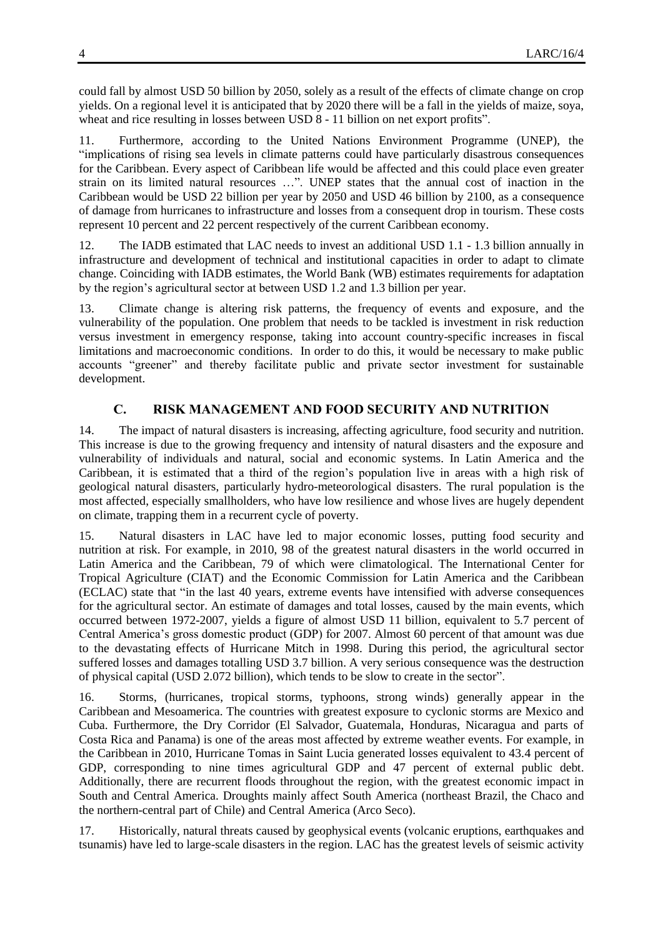could fall by almost USD 50 billion by 2050, solely as a result of the effects of climate change on crop yields. On a regional level it is anticipated that by 2020 there will be a fall in the yields of maize, soya, wheat and rice resulting in losses between USD 8 - 11 billion on net export profits".

11. Furthermore, according to the United Nations Environment Programme (UNEP), the "implications of rising sea levels in climate patterns could have particularly disastrous consequences for the Caribbean. Every aspect of Caribbean life would be affected and this could place even greater strain on its limited natural resources …". UNEP states that the annual cost of inaction in the Caribbean would be USD 22 billion per year by 2050 and USD 46 billion by 2100, as a consequence of damage from hurricanes to infrastructure and losses from a consequent drop in tourism. These costs represent 10 percent and 22 percent respectively of the current Caribbean economy.

12. The IADB estimated that LAC needs to invest an additional USD 1.1 - 1.3 billion annually in infrastructure and development of technical and institutional capacities in order to adapt to climate change. Coinciding with IADB estimates, the World Bank (WB) estimates requirements for adaptation by the region's agricultural sector at between USD 1.2 and 1.3 billion per year.

13. Climate change is altering risk patterns, the frequency of events and exposure, and the vulnerability of the population. One problem that needs to be tackled is investment in risk reduction versus investment in emergency response, taking into account country-specific increases in fiscal limitations and macroeconomic conditions. In order to do this, it would be necessary to make public accounts "greener" and thereby facilitate public and private sector investment for sustainable development.

# **C. RISK MANAGEMENT AND FOOD SECURITY AND NUTRITION**

14. The impact of natural disasters is increasing, affecting agriculture, food security and nutrition. This increase is due to the growing frequency and intensity of natural disasters and the exposure and vulnerability of individuals and natural, social and economic systems. In Latin America and the Caribbean, it is estimated that a third of the region's population live in areas with a high risk of geological natural disasters, particularly hydro-meteorological disasters. The rural population is the most affected, especially smallholders, who have low resilience and whose lives are hugely dependent on climate, trapping them in a recurrent cycle of poverty.

15. Natural disasters in LAC have led to major economic losses, putting food security and nutrition at risk. For example, in 2010, 98 of the greatest natural disasters in the world occurred in Latin America and the Caribbean, 79 of which were climatological. The International Center for Tropical Agriculture (CIAT) and the Economic Commission for Latin America and the Caribbean (ECLAC) state that "in the last 40 years, extreme events have intensified with adverse consequences for the agricultural sector. An estimate of damages and total losses, caused by the main events, which occurred between 1972-2007, yields a figure of almost USD 11 billion, equivalent to 5.7 percent of Central America's gross domestic product (GDP) for 2007. Almost 60 percent of that amount was due to the devastating effects of Hurricane Mitch in 1998. During this period, the agricultural sector suffered losses and damages totalling USD 3.7 billion. A very serious consequence was the destruction of physical capital (USD 2.072 billion), which tends to be slow to create in the sector".

16. Storms, (hurricanes, tropical storms, typhoons, strong winds) generally appear in the Caribbean and Mesoamerica. The countries with greatest exposure to cyclonic storms are Mexico and Cuba. Furthermore, the Dry Corridor (El Salvador, Guatemala, Honduras, Nicaragua and parts of Costa Rica and Panama) is one of the areas most affected by extreme weather events. For example, in the Caribbean in 2010, Hurricane Tomas in Saint Lucia generated losses equivalent to 43.4 percent of GDP, corresponding to nine times agricultural GDP and 47 percent of external public debt. Additionally, there are recurrent floods throughout the region, with the greatest economic impact in South and Central America. Droughts mainly affect South America (northeast Brazil, the Chaco and the northern-central part of Chile) and Central America (Arco Seco).

17. Historically, natural threats caused by geophysical events (volcanic eruptions, earthquakes and tsunamis) have led to large-scale disasters in the region. LAC has the greatest levels of seismic activity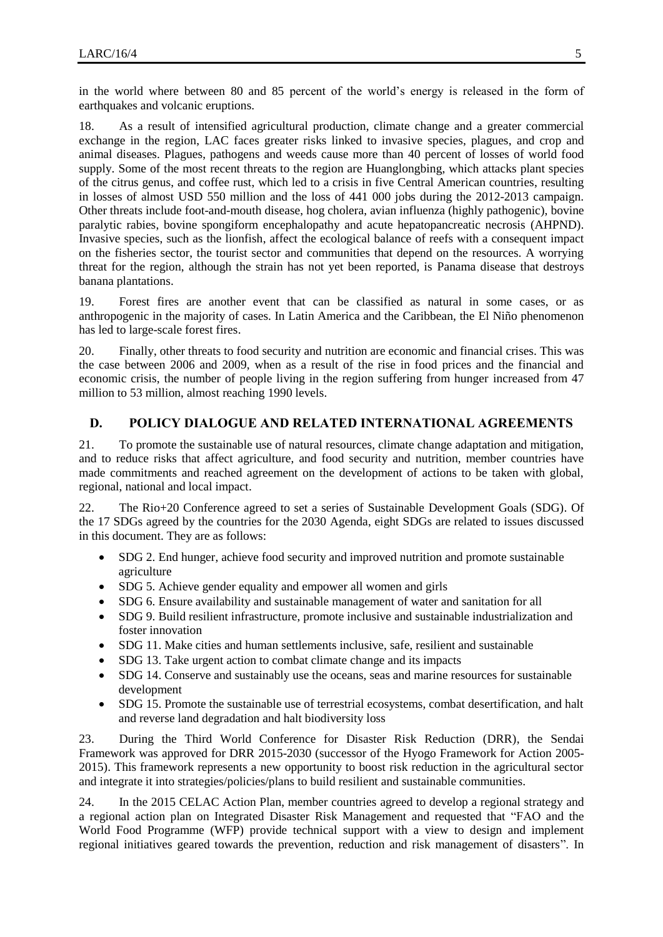in the world where between 80 and 85 percent of the world's energy is released in the form of earthquakes and volcanic eruptions.

18. As a result of intensified agricultural production, climate change and a greater commercial exchange in the region, LAC faces greater risks linked to invasive species, plagues, and crop and animal diseases. Plagues, pathogens and weeds cause more than 40 percent of losses of world food supply. Some of the most recent threats to the region are Huanglongbing, which attacks plant species of the citrus genus, and coffee rust, which led to a crisis in five Central American countries, resulting in losses of almost USD 550 million and the loss of 441 000 jobs during the 2012-2013 campaign. Other threats include foot-and-mouth disease, hog cholera, avian influenza (highly pathogenic), bovine paralytic rabies, bovine spongiform encephalopathy and acute hepatopancreatic necrosis (AHPND). Invasive species, such as the lionfish, affect the ecological balance of reefs with a consequent impact on the fisheries sector, the tourist sector and communities that depend on the resources. A worrying threat for the region, although the strain has not yet been reported, is Panama disease that destroys banana plantations.

19. Forest fires are another event that can be classified as natural in some cases, or as anthropogenic in the majority of cases. In Latin America and the Caribbean, the El Niño phenomenon has led to large-scale forest fires.

20. Finally, other threats to food security and nutrition are economic and financial crises. This was the case between 2006 and 2009, when as a result of the rise in food prices and the financial and economic crisis, the number of people living in the region suffering from hunger increased from 47 million to 53 million, almost reaching 1990 levels.

## **D. POLICY DIALOGUE AND RELATED INTERNATIONAL AGREEMENTS**

21. To promote the sustainable use of natural resources, climate change adaptation and mitigation, and to reduce risks that affect agriculture, and food security and nutrition, member countries have made commitments and reached agreement on the development of actions to be taken with global, regional, national and local impact.

22. The Rio+20 Conference agreed to set a series of Sustainable Development Goals (SDG). Of the 17 SDGs agreed by the countries for the 2030 Agenda, eight SDGs are related to issues discussed in this document. They are as follows:

- SDG 2. End hunger, achieve food security and improved nutrition and promote sustainable agriculture
- SDG 5. Achieve gender equality and empower all women and girls
- SDG 6. Ensure availability and sustainable management of water and sanitation for all
- SDG 9. Build resilient infrastructure, promote inclusive and sustainable industrialization and foster innovation
- SDG 11. Make cities and human settlements inclusive, safe, resilient and sustainable
- SDG 13. Take urgent action to combat climate change and its impacts
- SDG 14. Conserve and sustainably use the oceans, seas and marine resources for sustainable development
- SDG 15. Promote the sustainable use of terrestrial ecosystems, combat desertification, and halt and reverse land degradation and halt biodiversity loss

23. During the Third World Conference for Disaster Risk Reduction (DRR), the Sendai Framework was approved for DRR 2015-2030 (successor of the Hyogo Framework for Action 2005- 2015). This framework represents a new opportunity to boost risk reduction in the agricultural sector and integrate it into strategies/policies/plans to build resilient and sustainable communities.

24. In the 2015 CELAC Action Plan, member countries agreed to develop a regional strategy and a regional action plan on Integrated Disaster Risk Management and requested that "FAO and the World Food Programme (WFP) provide technical support with a view to design and implement regional initiatives geared towards the prevention, reduction and risk management of disasters". In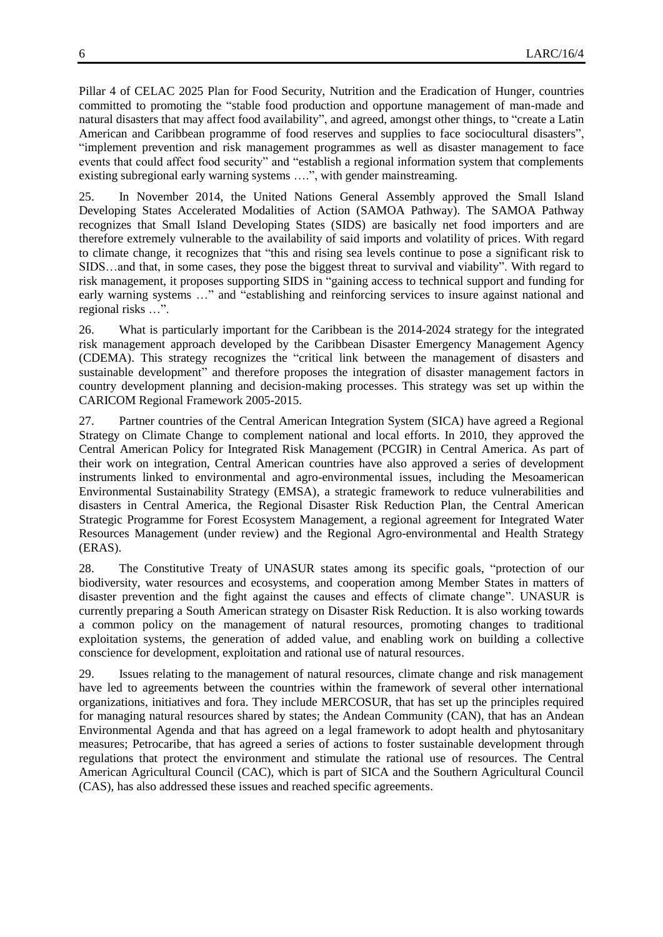Pillar 4 of CELAC 2025 Plan for Food Security, Nutrition and the Eradication of Hunger, countries committed to promoting the "stable food production and opportune management of man-made and natural disasters that may affect food availability", and agreed, amongst other things, to "create a Latin American and Caribbean programme of food reserves and supplies to face sociocultural disasters", "implement prevention and risk management programmes as well as disaster management to face events that could affect food security" and "establish a regional information system that complements existing subregional early warning systems ….", with gender mainstreaming.

25. In November 2014, the United Nations General Assembly approved the Small Island Developing States Accelerated Modalities of Action (SAMOA Pathway). The SAMOA Pathway recognizes that Small Island Developing States (SIDS) are basically net food importers and are therefore extremely vulnerable to the availability of said imports and volatility of prices. With regard to climate change, it recognizes that "this and rising sea levels continue to pose a significant risk to SIDS…and that, in some cases, they pose the biggest threat to survival and viability". With regard to risk management, it proposes supporting SIDS in "gaining access to technical support and funding for early warning systems …" and "establishing and reinforcing services to insure against national and regional risks …".

26. What is particularly important for the Caribbean is the 2014-2024 strategy for the integrated risk management approach developed by the Caribbean Disaster Emergency Management Agency (CDEMA). This strategy recognizes the "critical link between the management of disasters and sustainable development" and therefore proposes the integration of disaster management factors in country development planning and decision-making processes. This strategy was set up within the CARICOM Regional Framework 2005-2015.

27. Partner countries of the Central American Integration System (SICA) have agreed a Regional Strategy on Climate Change to complement national and local efforts. In 2010, they approved the Central American Policy for Integrated Risk Management (PCGIR) in Central America. As part of their work on integration, Central American countries have also approved a series of development instruments linked to environmental and agro-environmental issues, including the Mesoamerican Environmental Sustainability Strategy (EMSA), a strategic framework to reduce vulnerabilities and disasters in Central America, the Regional Disaster Risk Reduction Plan, the Central American Strategic Programme for Forest Ecosystem Management, a regional agreement for Integrated Water Resources Management (under review) and the Regional Agro-environmental and Health Strategy (ERAS).

28. The Constitutive Treaty of UNASUR states among its specific goals, "protection of our biodiversity, water resources and ecosystems, and cooperation among Member States in matters of disaster prevention and the fight against the causes and effects of climate change". UNASUR is currently preparing a South American strategy on Disaster Risk Reduction. It is also working towards a common policy on the management of natural resources, promoting changes to traditional exploitation systems, the generation of added value, and enabling work on building a collective conscience for development, exploitation and rational use of natural resources.

29. Issues relating to the management of natural resources, climate change and risk management have led to agreements between the countries within the framework of several other international organizations, initiatives and fora. They include MERCOSUR, that has set up the principles required for managing natural resources shared by states; the Andean Community (CAN), that has an Andean Environmental Agenda and that has agreed on a legal framework to adopt health and phytosanitary measures; Petrocaribe, that has agreed a series of actions to foster sustainable development through regulations that protect the environment and stimulate the rational use of resources. The Central American Agricultural Council (CAC), which is part of SICA and the Southern Agricultural Council (CAS), has also addressed these issues and reached specific agreements.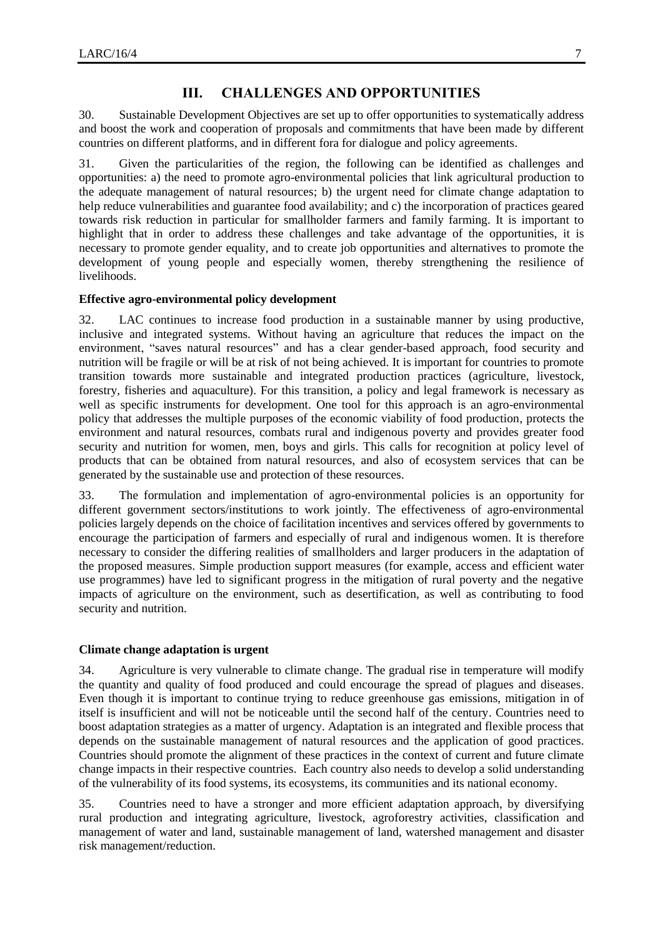## **III. CHALLENGES AND OPPORTUNITIES**

30. Sustainable Development Objectives are set up to offer opportunities to systematically address and boost the work and cooperation of proposals and commitments that have been made by different countries on different platforms, and in different fora for dialogue and policy agreements.

31. Given the particularities of the region, the following can be identified as challenges and opportunities: a) the need to promote agro-environmental policies that link agricultural production to the adequate management of natural resources; b) the urgent need for climate change adaptation to help reduce vulnerabilities and guarantee food availability; and c) the incorporation of practices geared towards risk reduction in particular for smallholder farmers and family farming. It is important to highlight that in order to address these challenges and take advantage of the opportunities, it is necessary to promote gender equality, and to create job opportunities and alternatives to promote the development of young people and especially women, thereby strengthening the resilience of livelihoods.

#### **Effective agro-environmental policy development**

32. LAC continues to increase food production in a sustainable manner by using productive, inclusive and integrated systems. Without having an agriculture that reduces the impact on the environment, "saves natural resources" and has a clear gender-based approach, food security and nutrition will be fragile or will be at risk of not being achieved. It is important for countries to promote transition towards more sustainable and integrated production practices (agriculture, livestock, forestry, fisheries and aquaculture). For this transition, a policy and legal framework is necessary as well as specific instruments for development. One tool for this approach is an agro-environmental policy that addresses the multiple purposes of the economic viability of food production, protects the environment and natural resources, combats rural and indigenous poverty and provides greater food security and nutrition for women, men, boys and girls. This calls for recognition at policy level of products that can be obtained from natural resources, and also of ecosystem services that can be generated by the sustainable use and protection of these resources.

33. The formulation and implementation of agro-environmental policies is an opportunity for different government sectors/institutions to work jointly. The effectiveness of agro-environmental policies largely depends on the choice of facilitation incentives and services offered by governments to encourage the participation of farmers and especially of rural and indigenous women. It is therefore necessary to consider the differing realities of smallholders and larger producers in the adaptation of the proposed measures. Simple production support measures (for example, access and efficient water use programmes) have led to significant progress in the mitigation of rural poverty and the negative impacts of agriculture on the environment, such as desertification, as well as contributing to food security and nutrition.

#### **Climate change adaptation is urgent**

34. Agriculture is very vulnerable to climate change. The gradual rise in temperature will modify the quantity and quality of food produced and could encourage the spread of plagues and diseases. Even though it is important to continue trying to reduce greenhouse gas emissions, mitigation in of itself is insufficient and will not be noticeable until the second half of the century. Countries need to boost adaptation strategies as a matter of urgency. Adaptation is an integrated and flexible process that depends on the sustainable management of natural resources and the application of good practices. Countries should promote the alignment of these practices in the context of current and future climate change impacts in their respective countries. Each country also needs to develop a solid understanding of the vulnerability of its food systems, its ecosystems, its communities and its national economy.

35. Countries need to have a stronger and more efficient adaptation approach, by diversifying rural production and integrating agriculture, livestock, agroforestry activities, classification and management of water and land, sustainable management of land, watershed management and disaster risk management/reduction.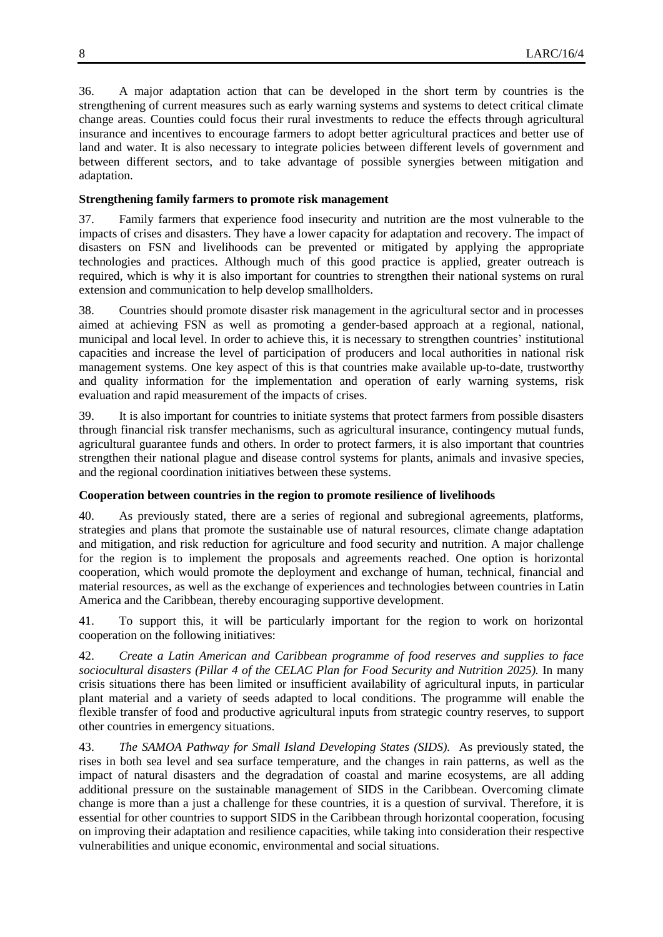36. A major adaptation action that can be developed in the short term by countries is the strengthening of current measures such as early warning systems and systems to detect critical climate change areas. Counties could focus their rural investments to reduce the effects through agricultural insurance and incentives to encourage farmers to adopt better agricultural practices and better use of land and water. It is also necessary to integrate policies between different levels of government and between different sectors, and to take advantage of possible synergies between mitigation and adaptation.

#### **Strengthening family farmers to promote risk management**

37. Family farmers that experience food insecurity and nutrition are the most vulnerable to the impacts of crises and disasters. They have a lower capacity for adaptation and recovery. The impact of disasters on FSN and livelihoods can be prevented or mitigated by applying the appropriate technologies and practices. Although much of this good practice is applied, greater outreach is required, which is why it is also important for countries to strengthen their national systems on rural extension and communication to help develop smallholders.

38. Countries should promote disaster risk management in the agricultural sector and in processes aimed at achieving FSN as well as promoting a gender-based approach at a regional, national, municipal and local level. In order to achieve this, it is necessary to strengthen countries' institutional capacities and increase the level of participation of producers and local authorities in national risk management systems. One key aspect of this is that countries make available up-to-date, trustworthy and quality information for the implementation and operation of early warning systems, risk evaluation and rapid measurement of the impacts of crises.

39. It is also important for countries to initiate systems that protect farmers from possible disasters through financial risk transfer mechanisms, such as agricultural insurance, contingency mutual funds, agricultural guarantee funds and others. In order to protect farmers, it is also important that countries strengthen their national plague and disease control systems for plants, animals and invasive species, and the regional coordination initiatives between these systems.

## **Cooperation between countries in the region to promote resilience of livelihoods**

40. As previously stated, there are a series of regional and subregional agreements, platforms, strategies and plans that promote the sustainable use of natural resources, climate change adaptation and mitigation, and risk reduction for agriculture and food security and nutrition. A major challenge for the region is to implement the proposals and agreements reached. One option is horizontal cooperation, which would promote the deployment and exchange of human, technical, financial and material resources, as well as the exchange of experiences and technologies between countries in Latin America and the Caribbean, thereby encouraging supportive development.

41. To support this, it will be particularly important for the region to work on horizontal cooperation on the following initiatives:

42. *Create a Latin American and Caribbean programme of food reserves and supplies to face sociocultural disasters (Pillar 4 of the CELAC Plan for Food Security and Nutrition 2025).* In many crisis situations there has been limited or insufficient availability of agricultural inputs, in particular plant material and a variety of seeds adapted to local conditions. The programme will enable the flexible transfer of food and productive agricultural inputs from strategic country reserves, to support other countries in emergency situations.

43. *The SAMOA Pathway for Small Island Developing States (SIDS).* As previously stated, the rises in both sea level and sea surface temperature, and the changes in rain patterns, as well as the impact of natural disasters and the degradation of coastal and marine ecosystems, are all adding additional pressure on the sustainable management of SIDS in the Caribbean. Overcoming climate change is more than a just a challenge for these countries, it is a question of survival. Therefore, it is essential for other countries to support SIDS in the Caribbean through horizontal cooperation, focusing on improving their adaptation and resilience capacities, while taking into consideration their respective vulnerabilities and unique economic, environmental and social situations.